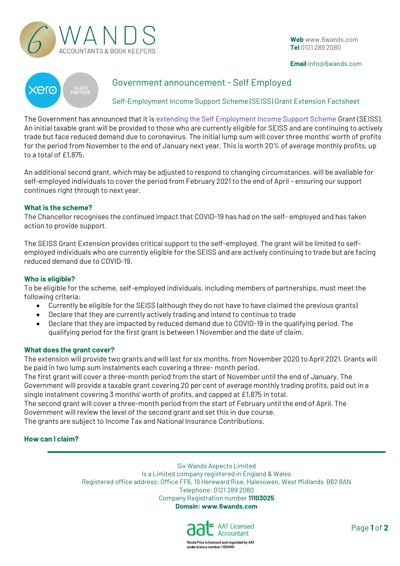

**Web** [www.6wands.com](http://www.6wands.com/)  **Tel** 0121 289 2080

#### **Email** info@6wands.com



# Government announcement - Self Employed

Self-Employment Income Support Scheme (SEISS) Grant Extension Factsheet

The Government has announced that it is extending the Self Employment Income Support Scheme Grant (SEISS). An initial taxable grant will be provided to those who are currently eligible for SEISS and are continuing to actively trade but face reduced demand due to coronavirus. The initial lump sum will cover three months' worth of profits for the period from November to the end of January next year. This is worth 20% of average monthly profits, up to a total of £1,875.

An additional second grant, which may be adjusted to respond to changing circumstances, will be available for self-employed individuals to cover the period from February 2021 to the end of April - ensuring our support continues right through to next year.

### **What is the scheme?**

The Chancellor recognises the continued impact that COVID-19 has had on the self- employed and has taken action to provide support.

The SEISS Grant Extension provides critical support to the self-employed. The grant will be limited to selfemployed individuals who are currently eligible for the SEISS and are actively continuing to trade but are facing reduced demand due to COVID-19.

### **Who is eligible?**

To be eligible for the scheme, self-employed individuals, including members of partnerships, must meet the following criteria:

- Currently be eligible for the SEISS (although they do not have to have claimed the previous grants)
- Declare that they are currently actively trading and intend to continue to trade
- Declare that they are impacted by reduced demand due to COVID-19 in the qualifying period. The qualifying period for the first grant is between 1 November and the date of claim.

#### **What does the grant cover?**

The extension will provide two grants and will last for six months, from November 2020 to April 2021. Grants will be paid in two lump sum instalments each covering a three- month period.

The first grant will cover a three-month period from the start of November until the end of January. The Government will provide a taxable grant covering 20 per cent of average monthly trading profits, paid out in a single instalment covering 3 months' worth of profits, and capped at £1,875 in total.

The second grant will cover a three-month period from the start of February until the end of April. The Government will review the level of the second grant and set this in due course.

The grants are subject to Income Tax and National Insurance Contributions.

## **How can I claim?**

Six Wands Aspects Limited Is a Limited company registered in England & Wales Registered office address: Office FF6, 19 Hereward Rise, Halesowen, West Midlands B62 8AN Telephone: 0121 289 2080 Company Registration number **11103025 Domain: www.6wands.com**



Page **1** of **2**